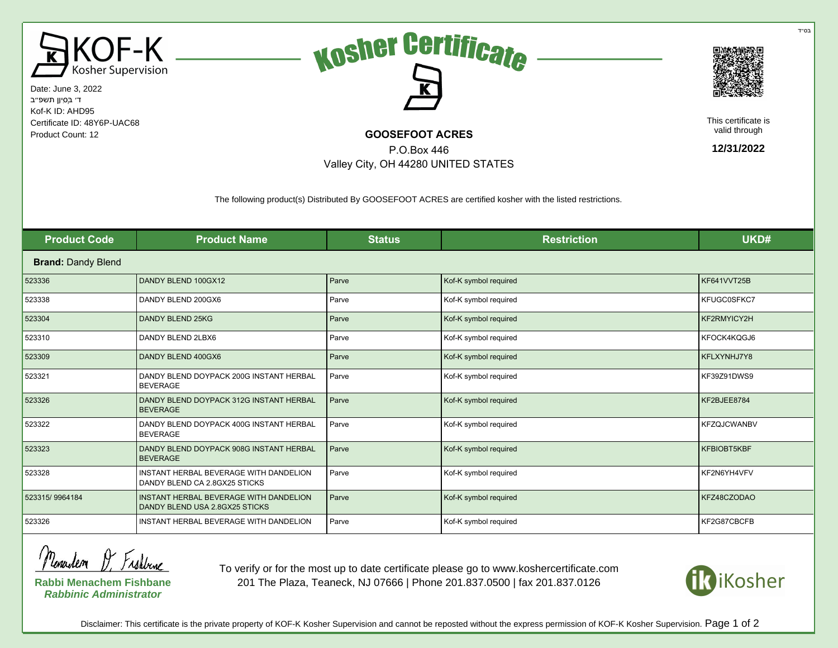

Date: June 3, 2022 ד׳ בְּסִיוָן תשפ״ב Kof-K ID: AHD95 Certificate ID: 48Y6P-UAC68 Product Count: 12 **COOSEFOOT ACRES** 





This certificate is valid through

**12/31/2022**

The following product(s) Distributed By GOOSEFOOT ACRES are certified kosher with the listed restrictions.

P.O.Box 446 Valley City, OH 44280 UNITED STATES

| <b>Product Code</b>       | <b>Product Name</b>                                                      | <b>Status</b> | <b>Restriction</b>    | UKD#               |  |  |  |
|---------------------------|--------------------------------------------------------------------------|---------------|-----------------------|--------------------|--|--|--|
| <b>Brand: Dandy Blend</b> |                                                                          |               |                       |                    |  |  |  |
| 523336                    | DANDY BLEND 100GX12                                                      | Parve         | Kof-K symbol required | KF641VVT25B        |  |  |  |
| 523338                    | DANDY BLEND 200GX6                                                       | Parve         | Kof-K symbol required | KFUGC0SFKC7        |  |  |  |
| 523304                    | <b>DANDY BLEND 25KG</b>                                                  | Parve         | Kof-K symbol required | KF2RMYICY2H        |  |  |  |
| 523310                    | DANDY BLEND 2LBX6                                                        | Parve         | Kof-K symbol required | KFOCK4KQGJ6        |  |  |  |
| 523309                    | DANDY BLEND 400GX6                                                       | Parve         | Kof-K symbol required | KFLXYNHJ7Y8        |  |  |  |
| 523321                    | DANDY BLEND DOYPACK 200G INSTANT HERBAL<br><b>BEVERAGE</b>               | Parve         | Kof-K symbol required | KF39Z91DWS9        |  |  |  |
| 523326                    | DANDY BLEND DOYPACK 312G INSTANT HERBAL<br><b>BEVERAGE</b>               | Parve         | Kof-K symbol required | KF2BJEE8784        |  |  |  |
| 523322                    | DANDY BLEND DOYPACK 400G INSTANT HERBAL<br><b>BEVERAGE</b>               | Parve         | Kof-K symbol required | <b>KFZQJCWANBV</b> |  |  |  |
| 523323                    | DANDY BLEND DOYPACK 908G INSTANT HERBAL<br><b>BEVERAGE</b>               | Parve         | Kof-K symbol required | KFBIOBT5KBF        |  |  |  |
| 523328                    | INSTANT HERBAL BEVERAGE WITH DANDELION<br>DANDY BLEND CA 2.8GX25 STICKS  | Parve         | Kof-K symbol required | KF2N6YH4VFV        |  |  |  |
| 523315/9964184            | INSTANT HERBAL BEVERAGE WITH DANDELION<br>DANDY BLEND USA 2.8GX25 STICKS | Parve         | Kof-K symbol required | KFZ48CZODAO        |  |  |  |
| 523326                    | INSTANT HERBAL BEVERAGE WITH DANDELION                                   | Parve         | Kof-K symbol required | KF2G87CBCFB        |  |  |  |

Menaclem D. Frakbune

**Rabbi Menachem Fishbane Rabbinic Administrator**

To verify or for the most up to date certificate please go to www.koshercertificate.com 201 The Plaza, Teaneck, NJ 07666 | Phone 201.837.0500 | fax 201.837.0126



Disclaimer: This certificate is the private property of KOF-K Kosher Supervision and cannot be reposted without the express permission of KOF-K Kosher Supervision. Page 1 of 2